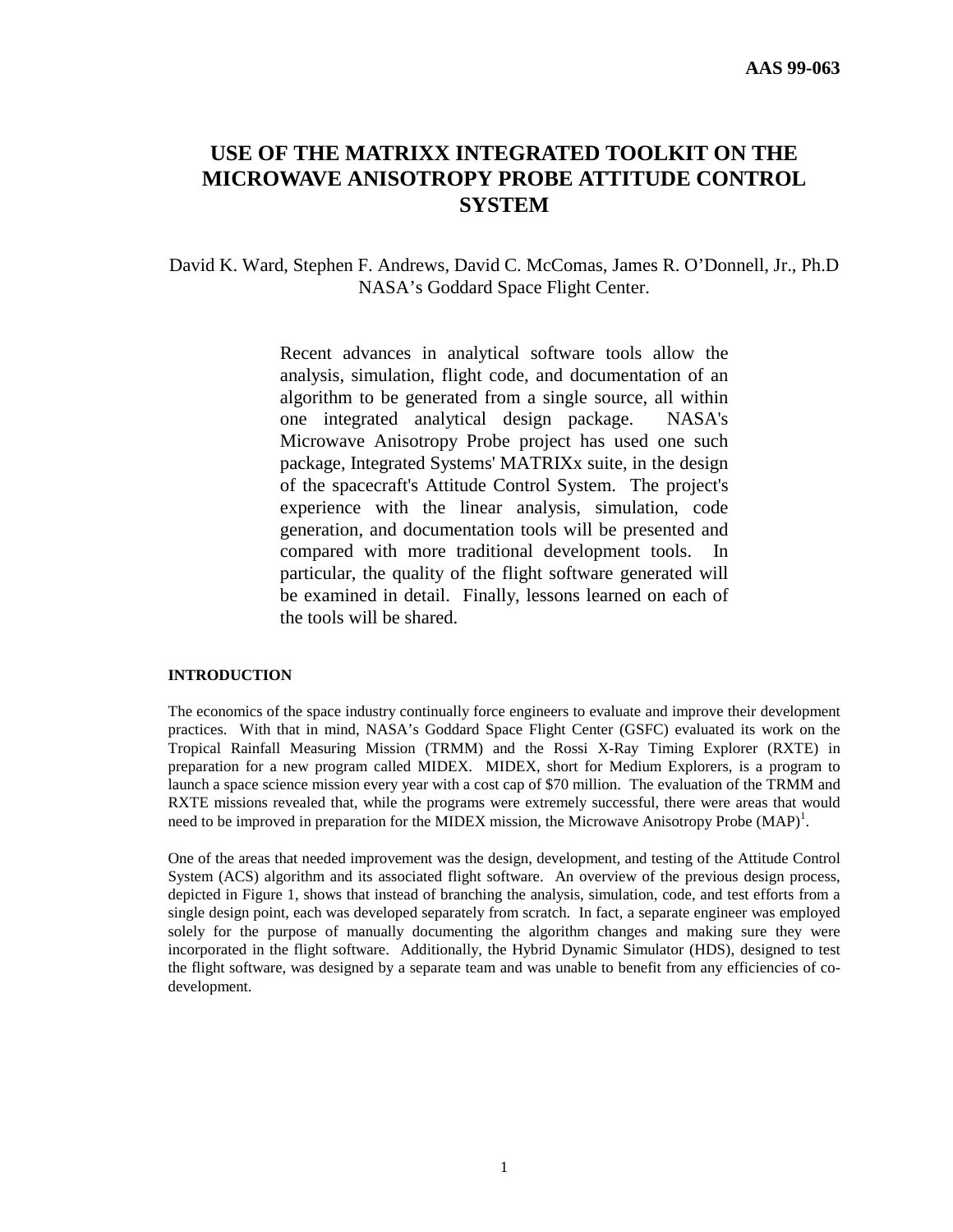# **USE OF THE MATRIXX INTEGRATED TOOLKIT ON THE MICROWAVE ANISOTROPY PROBE ATTITUDE CONTROL SYSTEM**

David K. Ward, Stephen F. Andrews, David C. McComas, James R. O'Donnell, Jr., Ph.D NASA's Goddard Space Flight Center.

> Recent advances in analytical software tools allow the analysis, simulation, flight code, and documentation of an algorithm to be generated from a single source, all within one integrated analytical design package. NASA's Microwave Anisotropy Probe project has used one such package, Integrated Systems' MATRIXx suite, in the design of the spacecraft's Attitude Control System. The project's experience with the linear analysis, simulation, code generation, and documentation tools will be presented and compared with more traditional development tools. In particular, the quality of the flight software generated will be examined in detail. Finally, lessons learned on each of the tools will be shared.

# **INTRODUCTION**

The economics of the space industry continually force engineers to evaluate and improve their development practices. With that in mind, NASA's Goddard Space Flight Center (GSFC) evaluated its work on the Tropical Rainfall Measuring Mission (TRMM) and the Rossi X-Ray Timing Explorer (RXTE) in preparation for a new program called MIDEX. MIDEX, short for Medium Explorers, is a program to launch a space science mission every year with a cost cap of \$70 million. The evaluation of the TRMM and RXTE missions revealed that, while the programs were extremely successful, there were areas that would need to be improved in preparation for the MIDEX mission, the Microwave Anisotropy Probe  $(MAP)^1$ .

One of the areas that needed improvement was the design, development, and testing of the Attitude Control System (ACS) algorithm and its associated flight software. An overview of the previous design process, depicted in Figure 1, shows that instead of branching the analysis, simulation, code, and test efforts from a single design point, each was developed separately from scratch. In fact, a separate engineer was employed solely for the purpose of manually documenting the algorithm changes and making sure they were incorporated in the flight software. Additionally, the Hybrid Dynamic Simulator (HDS), designed to test the flight software, was designed by a separate team and was unable to benefit from any efficiencies of codevelopment.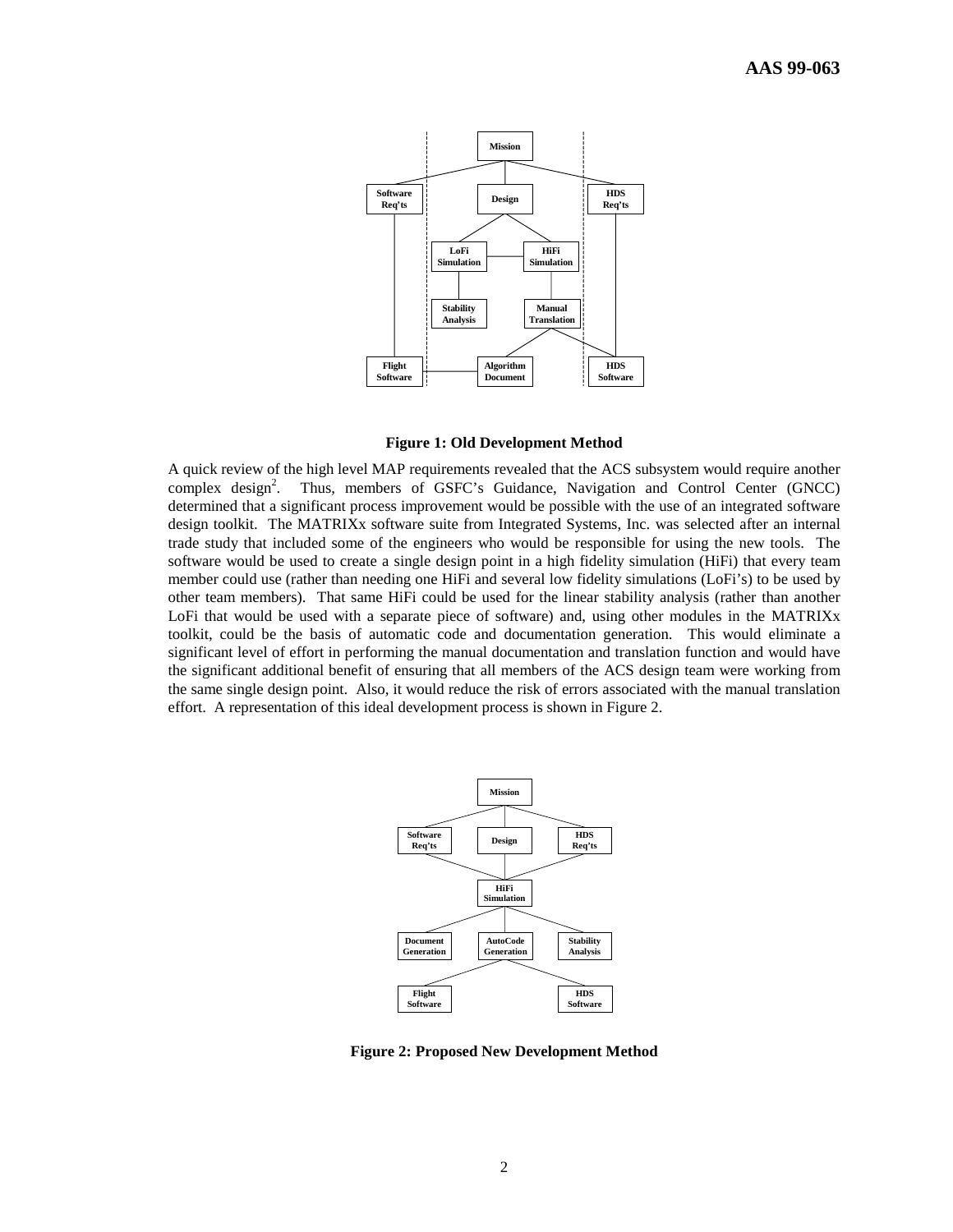

**Figure 1: Old Development Method**

A quick review of the high level MAP requirements revealed that the ACS subsystem would require another complex design<sup>2</sup>. . Thus, members of GSFC's Guidance, Navigation and Control Center (GNCC) determined that a significant process improvement would be possible with the use of an integrated software design toolkit. The MATRIXx software suite from Integrated Systems, Inc. was selected after an internal trade study that included some of the engineers who would be responsible for using the new tools. The software would be used to create a single design point in a high fidelity simulation (HiFi) that every team member could use (rather than needing one HiFi and several low fidelity simulations (LoFi's) to be used by other team members). That same HiFi could be used for the linear stability analysis (rather than another LoFi that would be used with a separate piece of software) and, using other modules in the MATRIXx toolkit, could be the basis of automatic code and documentation generation. This would eliminate a significant level of effort in performing the manual documentation and translation function and would have the significant additional benefit of ensuring that all members of the ACS design team were working from the same single design point. Also, it would reduce the risk of errors associated with the manual translation effort. A representation of this ideal development process is shown in Figure 2.



**Figure 2: Proposed New Development Method**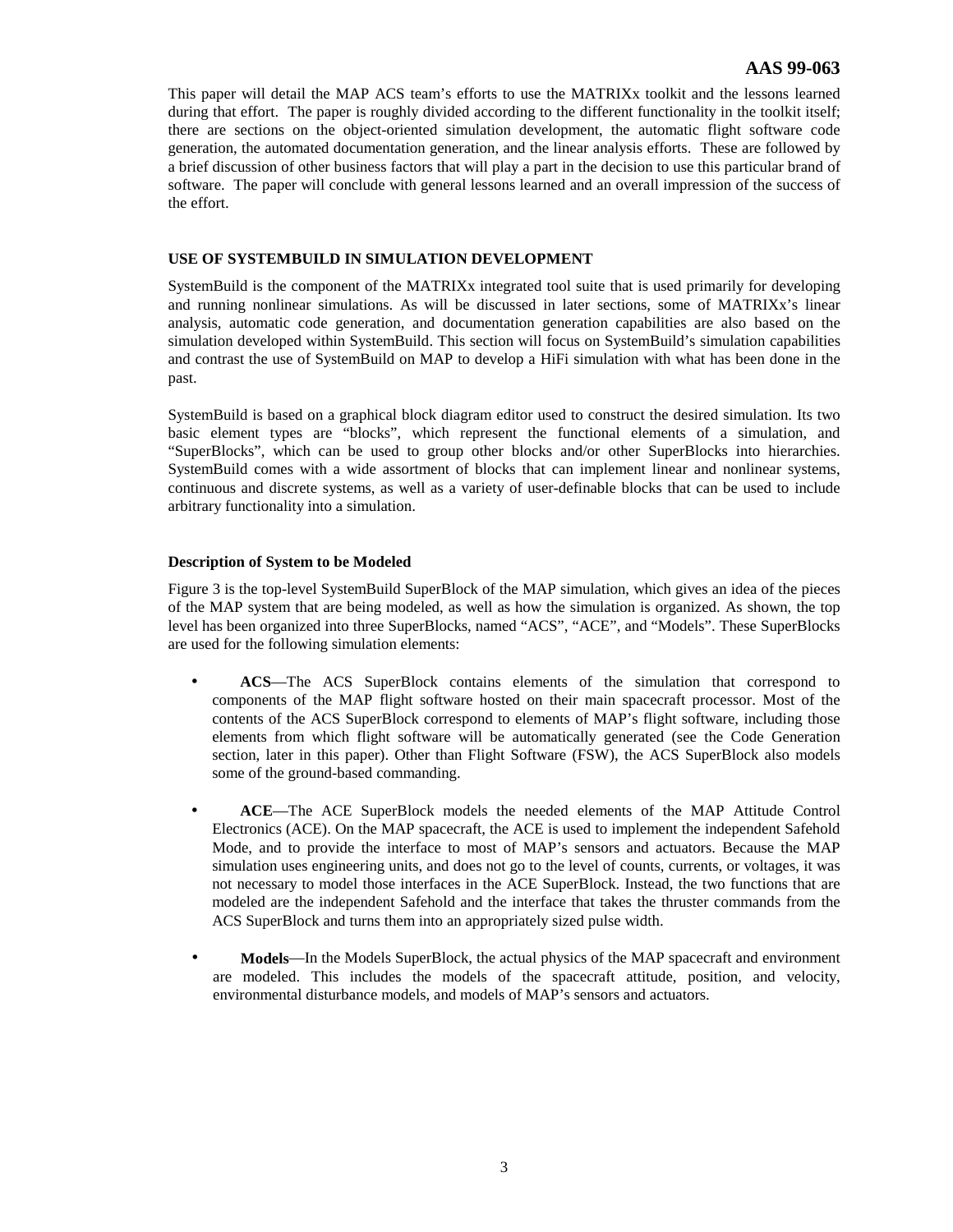This paper will detail the MAP ACS team's efforts to use the MATRIXx toolkit and the lessons learned during that effort. The paper is roughly divided according to the different functionality in the toolkit itself; there are sections on the object-oriented simulation development, the automatic flight software code generation, the automated documentation generation, and the linear analysis efforts. These are followed by a brief discussion of other business factors that will play a part in the decision to use this particular brand of software. The paper will conclude with general lessons learned and an overall impression of the success of the effort.

# **USE OF SYSTEMBUILD IN SIMULATION DEVELOPMENT**

SystemBuild is the component of the MATRIXx integrated tool suite that is used primarily for developing and running nonlinear simulations. As will be discussed in later sections, some of MATRIXx's linear analysis, automatic code generation, and documentation generation capabilities are also based on the simulation developed within SystemBuild. This section will focus on SystemBuild's simulation capabilities and contrast the use of SystemBuild on MAP to develop a HiFi simulation with what has been done in the past.

SystemBuild is based on a graphical block diagram editor used to construct the desired simulation. Its two basic element types are "blocks", which represent the functional elements of a simulation, and "SuperBlocks", which can be used to group other blocks and/or other SuperBlocks into hierarchies. SystemBuild comes with a wide assortment of blocks that can implement linear and nonlinear systems, continuous and discrete systems, as well as a variety of user-definable blocks that can be used to include arbitrary functionality into a simulation.

# **Description of System to be Modeled**

Figure 3 is the top-level SystemBuild SuperBlock of the MAP simulation, which gives an idea of the pieces of the MAP system that are being modeled, as well as how the simulation is organized. As shown, the top level has been organized into three SuperBlocks, named "ACS", "ACE", and "Models". These SuperBlocks are used for the following simulation elements:

- **ACS**—The ACS SuperBlock contains elements of the simulation that correspond to components of the MAP flight software hosted on their main spacecraft processor. Most of the contents of the ACS SuperBlock correspond to elements of MAP's flight software, including those elements from which flight software will be automatically generated (see the Code Generation section, later in this paper). Other than Flight Software (FSW), the ACS SuperBlock also models some of the ground-based commanding.
- **ACE**—The ACE SuperBlock models the needed elements of the MAP Attitude Control Electronics (ACE). On the MAP spacecraft, the ACE is used to implement the independent Safehold Mode, and to provide the interface to most of MAP's sensors and actuators. Because the MAP simulation uses engineering units, and does not go to the level of counts, currents, or voltages, it was not necessary to model those interfaces in the ACE SuperBlock. Instead, the two functions that are modeled are the independent Safehold and the interface that takes the thruster commands from the ACS SuperBlock and turns them into an appropriately sized pulse width.
- **Models**—In the Models SuperBlock, the actual physics of the MAP spacecraft and environment are modeled. This includes the models of the spacecraft attitude, position, and velocity, environmental disturbance models, and models of MAP's sensors and actuators.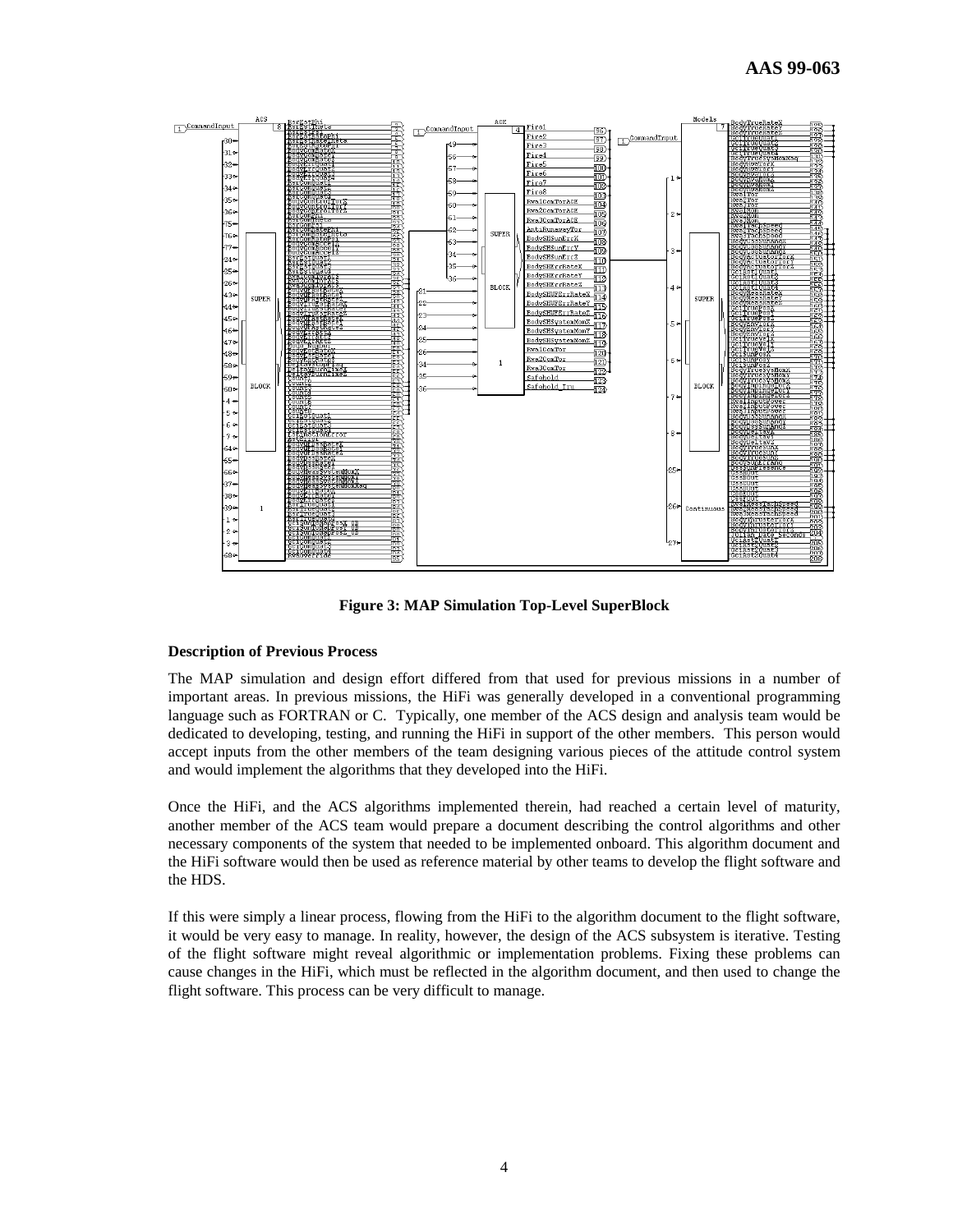

**Figure 3: MAP Simulation Top-Level SuperBlock**

#### **Description of Previous Process**

The MAP simulation and design effort differed from that used for previous missions in a number of important areas. In previous missions, the HiFi was generally developed in a conventional programming language such as FORTRAN or C. Typically, one member of the ACS design and analysis team would be dedicated to developing, testing, and running the HiFi in support of the other members. This person would accept inputs from the other members of the team designing various pieces of the attitude control system and would implement the algorithms that they developed into the HiFi.

Once the HiFi, and the ACS algorithms implemented therein, had reached a certain level of maturity, another member of the ACS team would prepare a document describing the control algorithms and other necessary components of the system that needed to be implemented onboard. This algorithm document and the HiFi software would then be used as reference material by other teams to develop the flight software and the HDS.

If this were simply a linear process, flowing from the HiFi to the algorithm document to the flight software, it would be very easy to manage. In reality, however, the design of the ACS subsystem is iterative. Testing of the flight software might reveal algorithmic or implementation problems. Fixing these problems can cause changes in the HiFi, which must be reflected in the algorithm document, and then used to change the flight software. This process can be very difficult to manage.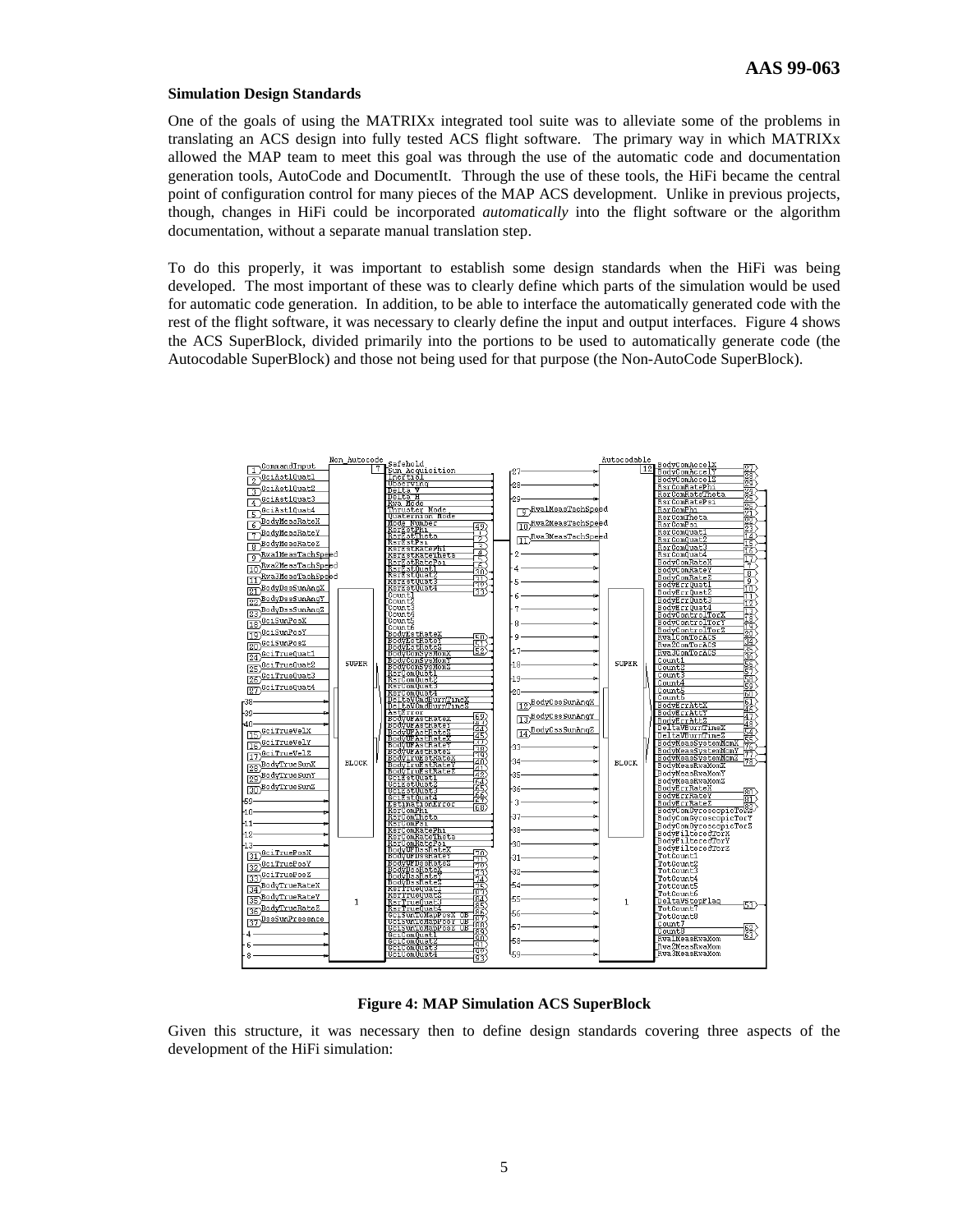## **Simulation Design Standards**

One of the goals of using the MATRIXx integrated tool suite was to alleviate some of the problems in translating an ACS design into fully tested ACS flight software. The primary way in which MATRIXx allowed the MAP team to meet this goal was through the use of the automatic code and documentation generation tools, AutoCode and DocumentIt. Through the use of these tools, the HiFi became the central point of configuration control for many pieces of the MAP ACS development. Unlike in previous projects, though, changes in HiFi could be incorporated *automatically* into the flight software or the algorithm documentation, without a separate manual translation step.

To do this properly, it was important to establish some design standards when the HiFi was being developed. The most important of these was to clearly define which parts of the simulation would be used for automatic code generation. In addition, to be able to interface the automatically generated code with the rest of the flight software, it was necessary to clearly define the input and output interfaces. Figure 4 shows the ACS SuperBlock, divided primarily into the portions to be used to automatically generate code (the Autocodable SuperBlock) and those not being used for that purpose (the Non-AutoCode SuperBlock).



**Figure 4: MAP Simulation ACS SuperBlock**

Given this structure, it was necessary then to define design standards covering three aspects of the development of the HiFi simulation: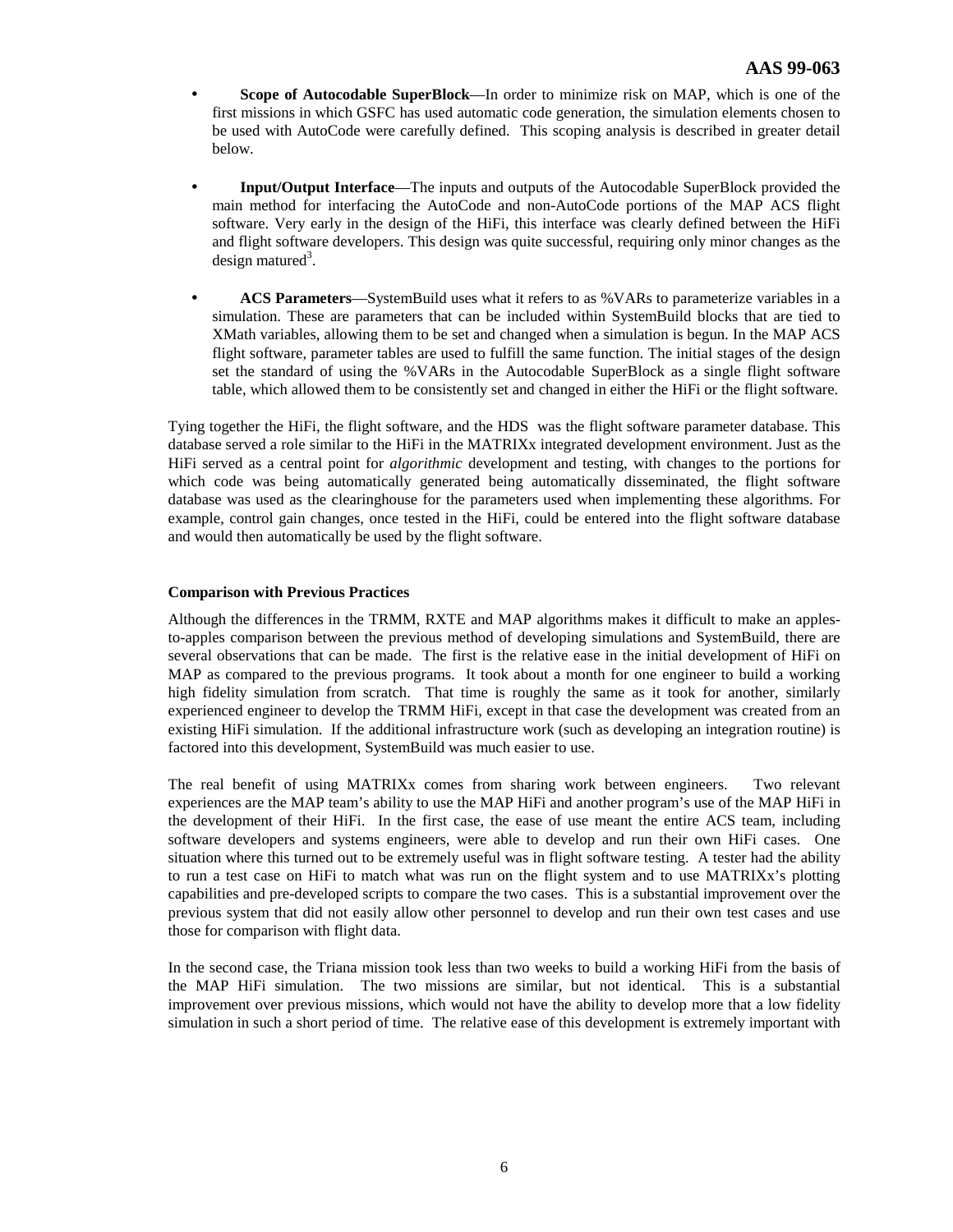- **Scope of Autocodable SuperBlock**—In order to minimize risk on MAP, which is one of the first missions in which GSFC has used automatic code generation, the simulation elements chosen to be used with AutoCode were carefully defined. This scoping analysis is described in greater detail below.
- **Input/Output Interface**—The inputs and outputs of the Autocodable SuperBlock provided the main method for interfacing the AutoCode and non-AutoCode portions of the MAP ACS flight software. Very early in the design of the HiFi, this interface was clearly defined between the HiFi and flight software developers. This design was quite successful, requiring only minor changes as the design matured<sup>3</sup>.
- **ACS Parameters**—SystemBuild uses what it refers to as %VARs to parameterize variables in a simulation. These are parameters that can be included within SystemBuild blocks that are tied to XMath variables, allowing them to be set and changed when a simulation is begun. In the MAP ACS flight software, parameter tables are used to fulfill the same function. The initial stages of the design set the standard of using the %VARs in the Autocodable SuperBlock as a single flight software table, which allowed them to be consistently set and changed in either the HiFi or the flight software.

Tying together the HiFi, the flight software, and the HDS was the flight software parameter database. This database served a role similar to the HiFi in the MATRIXx integrated development environment. Just as the HiFi served as a central point for *algorithmic* development and testing, with changes to the portions for which code was being automatically generated being automatically disseminated, the flight software database was used as the clearinghouse for the parameters used when implementing these algorithms. For example, control gain changes, once tested in the HiFi, could be entered into the flight software database and would then automatically be used by the flight software.

# **Comparison with Previous Practices**

Although the differences in the TRMM, RXTE and MAP algorithms makes it difficult to make an applesto-apples comparison between the previous method of developing simulations and SystemBuild, there are several observations that can be made. The first is the relative ease in the initial development of HiFi on MAP as compared to the previous programs. It took about a month for one engineer to build a working high fidelity simulation from scratch. That time is roughly the same as it took for another, similarly experienced engineer to develop the TRMM HiFi, except in that case the development was created from an existing HiFi simulation. If the additional infrastructure work (such as developing an integration routine) is factored into this development, SystemBuild was much easier to use.

The real benefit of using MATRIXx comes from sharing work between engineers. Two relevant experiences are the MAP team's ability to use the MAP HiFi and another program's use of the MAP HiFi in the development of their HiFi. In the first case, the ease of use meant the entire ACS team, including software developers and systems engineers, were able to develop and run their own HiFi cases. One situation where this turned out to be extremely useful was in flight software testing. A tester had the ability to run a test case on HiFi to match what was run on the flight system and to use MATRIXx's plotting capabilities and pre-developed scripts to compare the two cases. This is a substantial improvement over the previous system that did not easily allow other personnel to develop and run their own test cases and use those for comparison with flight data.

In the second case, the Triana mission took less than two weeks to build a working HiFi from the basis of the MAP HiFi simulation. The two missions are similar, but not identical. This is a substantial improvement over previous missions, which would not have the ability to develop more that a low fidelity simulation in such a short period of time. The relative ease of this development is extremely important with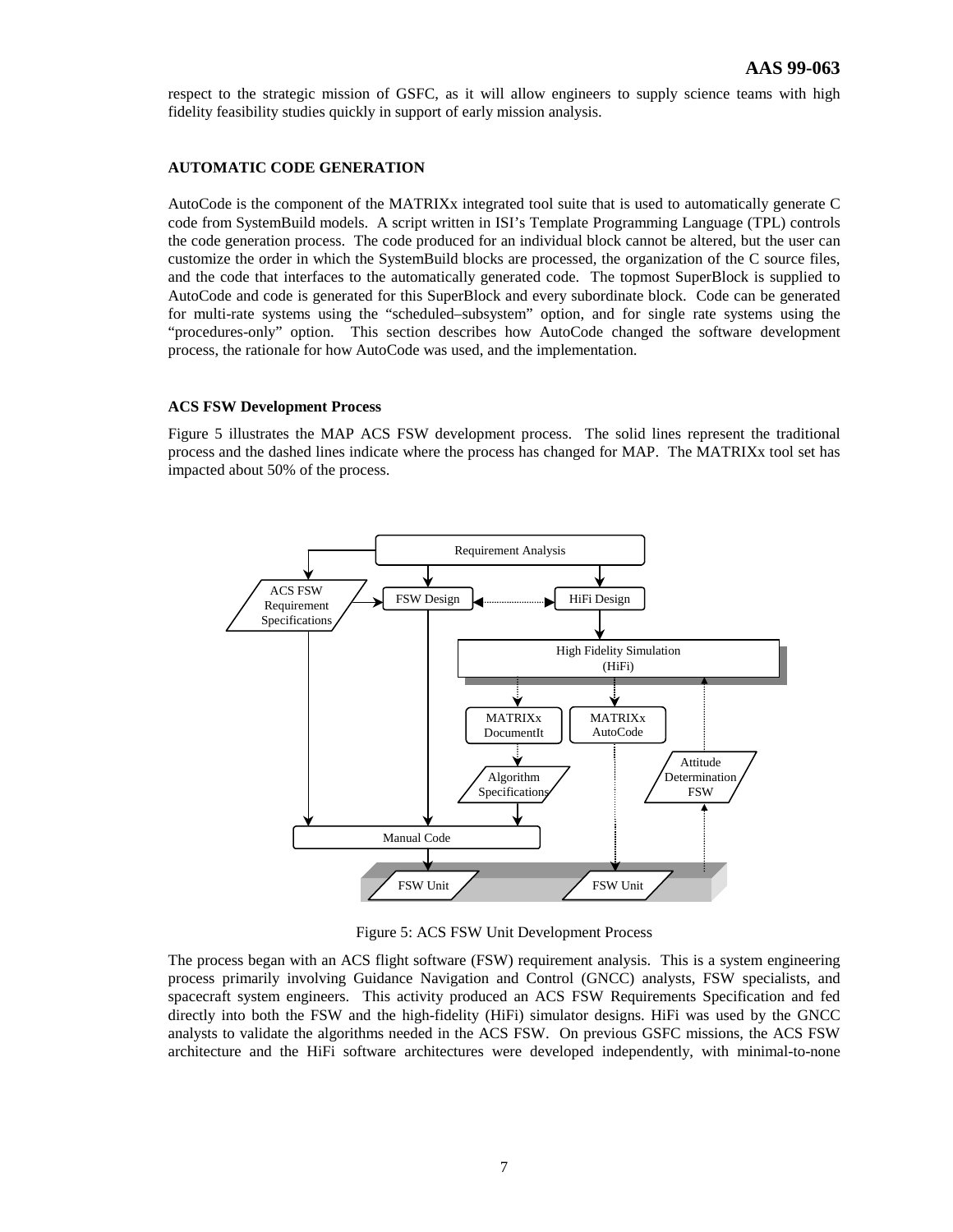respect to the strategic mission of GSFC, as it will allow engineers to supply science teams with high fidelity feasibility studies quickly in support of early mission analysis.

## **AUTOMATIC CODE GENERATION**

AutoCode is the component of the MATRIXx integrated tool suite that is used to automatically generate C code from SystemBuild models. A script written in ISI's Template Programming Language (TPL) controls the code generation process. The code produced for an individual block cannot be altered, but the user can customize the order in which the SystemBuild blocks are processed, the organization of the C source files, and the code that interfaces to the automatically generated code. The topmost SuperBlock is supplied to AutoCode and code is generated for this SuperBlock and every subordinate block. Code can be generated for multi-rate systems using the "scheduled–subsystem" option, and for single rate systems using the "procedures-only" option. This section describes how AutoCode changed the software development process, the rationale for how AutoCode was used, and the implementation.

#### **ACS FSW Development Process**

Figure 5 illustrates the MAP ACS FSW development process. The solid lines represent the traditional process and the dashed lines indicate where the process has changed for MAP. The MATRIXx tool set has impacted about 50% of the process.



Figure 5: ACS FSW Unit Development Process

The process began with an ACS flight software (FSW) requirement analysis. This is a system engineering process primarily involving Guidance Navigation and Control (GNCC) analysts, FSW specialists, and spacecraft system engineers. This activity produced an ACS FSW Requirements Specification and fed directly into both the FSW and the high-fidelity (HiFi) simulator designs. HiFi was used by the GNCC analysts to validate the algorithms needed in the ACS FSW. On previous GSFC missions, the ACS FSW architecture and the HiFi software architectures were developed independently, with minimal-to-none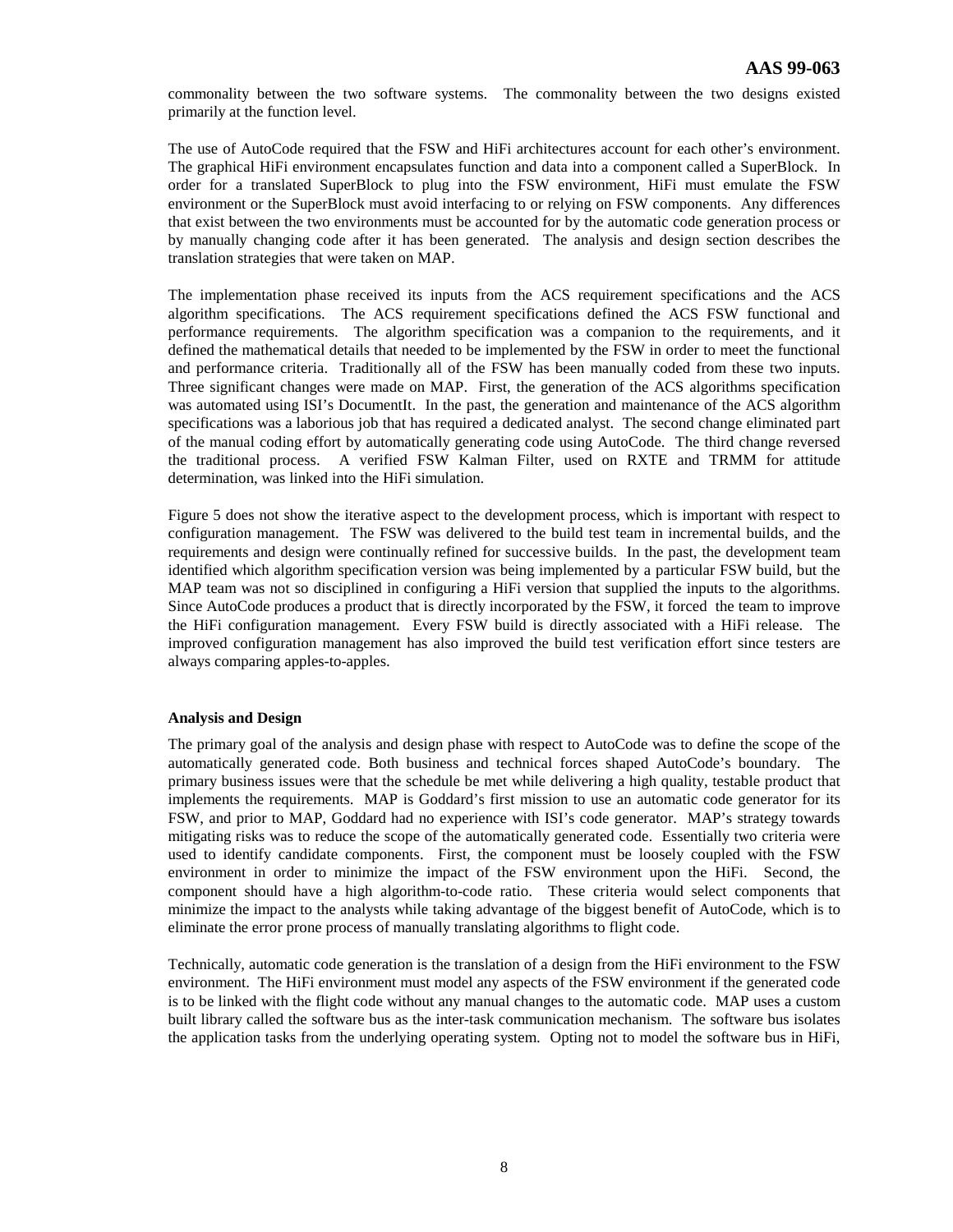commonality between the two software systems. The commonality between the two designs existed primarily at the function level.

The use of AutoCode required that the FSW and HiFi architectures account for each other's environment. The graphical HiFi environment encapsulates function and data into a component called a SuperBlock. In order for a translated SuperBlock to plug into the FSW environment, HiFi must emulate the FSW environment or the SuperBlock must avoid interfacing to or relying on FSW components. Any differences that exist between the two environments must be accounted for by the automatic code generation process or by manually changing code after it has been generated. The analysis and design section describes the translation strategies that were taken on MAP.

The implementation phase received its inputs from the ACS requirement specifications and the ACS algorithm specifications. The ACS requirement specifications defined the ACS FSW functional and performance requirements. The algorithm specification was a companion to the requirements, and it defined the mathematical details that needed to be implemented by the FSW in order to meet the functional and performance criteria. Traditionally all of the FSW has been manually coded from these two inputs. Three significant changes were made on MAP. First, the generation of the ACS algorithms specification was automated using ISI's DocumentIt. In the past, the generation and maintenance of the ACS algorithm specifications was a laborious job that has required a dedicated analyst. The second change eliminated part of the manual coding effort by automatically generating code using AutoCode. The third change reversed the traditional process. A verified FSW Kalman Filter, used on RXTE and TRMM for attitude determination, was linked into the HiFi simulation.

Figure 5 does not show the iterative aspect to the development process, which is important with respect to configuration management. The FSW was delivered to the build test team in incremental builds, and the requirements and design were continually refined for successive builds. In the past, the development team identified which algorithm specification version was being implemented by a particular FSW build, but the MAP team was not so disciplined in configuring a HiFi version that supplied the inputs to the algorithms. Since AutoCode produces a product that is directly incorporated by the FSW, it forced the team to improve the HiFi configuration management. Every FSW build is directly associated with a HiFi release. The improved configuration management has also improved the build test verification effort since testers are always comparing apples-to-apples.

# **Analysis and Design**

The primary goal of the analysis and design phase with respect to AutoCode was to define the scope of the automatically generated code. Both business and technical forces shaped AutoCode's boundary. The primary business issues were that the schedule be met while delivering a high quality, testable product that implements the requirements. MAP is Goddard's first mission to use an automatic code generator for its FSW, and prior to MAP, Goddard had no experience with ISI's code generator. MAP's strategy towards mitigating risks was to reduce the scope of the automatically generated code. Essentially two criteria were used to identify candidate components. First, the component must be loosely coupled with the FSW environment in order to minimize the impact of the FSW environment upon the HiFi. Second, the component should have a high algorithm-to-code ratio. These criteria would select components that minimize the impact to the analysts while taking advantage of the biggest benefit of AutoCode, which is to eliminate the error prone process of manually translating algorithms to flight code.

Technically, automatic code generation is the translation of a design from the HiFi environment to the FSW environment. The HiFi environment must model any aspects of the FSW environment if the generated code is to be linked with the flight code without any manual changes to the automatic code. MAP uses a custom built library called the software bus as the inter-task communication mechanism. The software bus isolates the application tasks from the underlying operating system. Opting not to model the software bus in HiFi,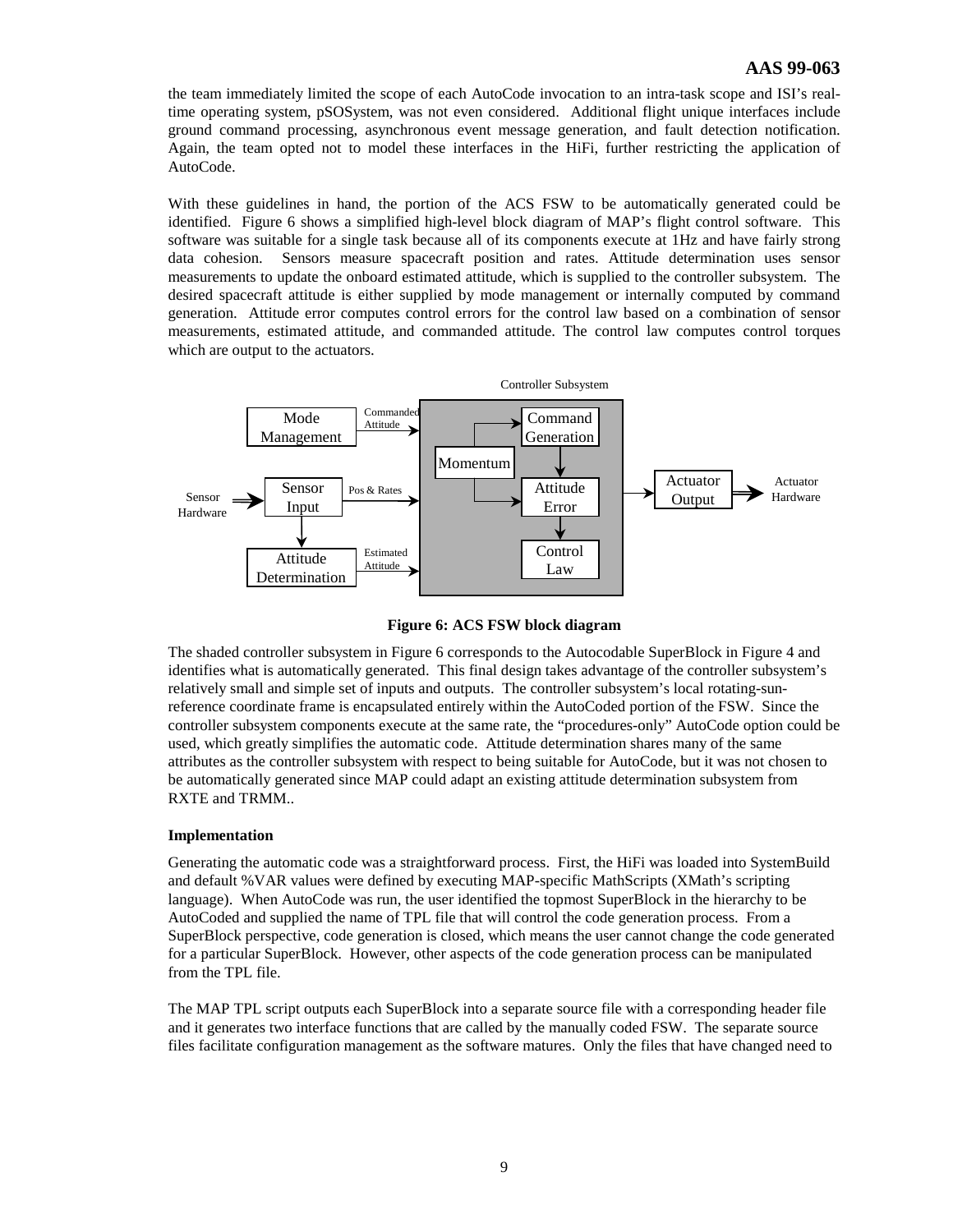# **AAS 99-063**

the team immediately limited the scope of each AutoCode invocation to an intra-task scope and ISI's realtime operating system, pSOSystem, was not even considered. Additional flight unique interfaces include ground command processing, asynchronous event message generation, and fault detection notification. Again, the team opted not to model these interfaces in the HiFi, further restricting the application of AutoCode.

With these guidelines in hand, the portion of the ACS FSW to be automatically generated could be identified. Figure 6 shows a simplified high-level block diagram of MAP's flight control software. This software was suitable for a single task because all of its components execute at 1Hz and have fairly strong data cohesion. Sensors measure spacecraft position and rates. Attitude determination uses sensor measurements to update the onboard estimated attitude, which is supplied to the controller subsystem. The desired spacecraft attitude is either supplied by mode management or internally computed by command generation. Attitude error computes control errors for the control law based on a combination of sensor measurements, estimated attitude, and commanded attitude. The control law computes control torques which are output to the actuators.



**Figure 6: ACS FSW block diagram**

The shaded controller subsystem in Figure 6 corresponds to the Autocodable SuperBlock in Figure 4 and identifies what is automatically generated. This final design takes advantage of the controller subsystem's relatively small and simple set of inputs and outputs. The controller subsystem's local rotating-sunreference coordinate frame is encapsulated entirely within the AutoCoded portion of the FSW. Since the controller subsystem components execute at the same rate, the "procedures-only" AutoCode option could be used, which greatly simplifies the automatic code. Attitude determination shares many of the same attributes as the controller subsystem with respect to being suitable for AutoCode, but it was not chosen to be automatically generated since MAP could adapt an existing attitude determination subsystem from RXTE and TRMM..

# **Implementation**

Generating the automatic code was a straightforward process. First, the HiFi was loaded into SystemBuild and default %VAR values were defined by executing MAP-specific MathScripts (XMath's scripting language). When AutoCode was run, the user identified the topmost SuperBlock in the hierarchy to be AutoCoded and supplied the name of TPL file that will control the code generation process. From a SuperBlock perspective, code generation is closed, which means the user cannot change the code generated for a particular SuperBlock. However, other aspects of the code generation process can be manipulated from the TPL file.

The MAP TPL script outputs each SuperBlock into a separate source file with a corresponding header file and it generates two interface functions that are called by the manually coded FSW. The separate source files facilitate configuration management as the software matures. Only the files that have changed need to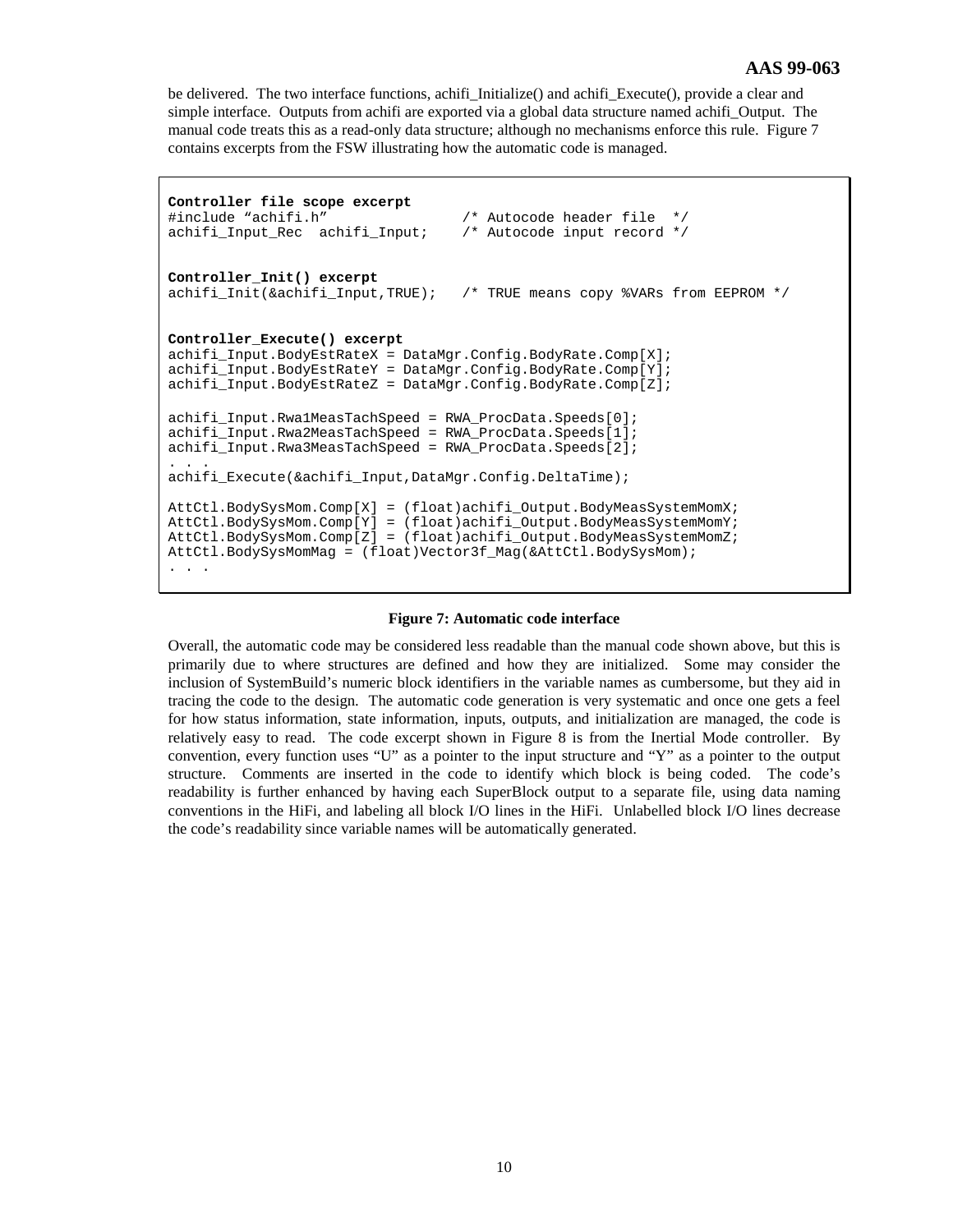be delivered. The two interface functions, achifi\_Initialize() and achifi\_Execute(), provide a clear and simple interface. Outputs from achifi are exported via a global data structure named achifi\_Output. The manual code treats this as a read-only data structure; although no mechanisms enforce this rule. Figure 7 contains excerpts from the FSW illustrating how the automatic code is managed.

```
Controller file scope excerpt
#include "achifi.h" /* Autocode header file */
achifi_Input\_Rec achifi_Input;
Controller_Init() excerpt
achifi_Init(&achifi_Input,TRUE); /* TRUE means copy %VARs from EEPROM */
Controller_Execute() excerpt
achifi_Input.BodyEstRateX = DataMgr.Config.BodyRate.Comp[X];
achifi_Input.BodyEstRateY = DataMgr.Config.BodyRate.Comp[Y];
achifi_Input.BodyEstRateZ = DataMgr.Config.BodyRate.Comp[Z];
achifi_Input.Rwa1MeasTachSpeed = RWA_ProcData.Speeds[0];
achifi_Input.Rwa2MeasTachSpeed = RWA_ProcData.Speeds[1];
achifi_Input.Rwa3MeasTachSpeed = RWA_ProcData.Speeds[2];
. . .
achifi_Execute(&achifi_Input,DataMgr.Config.DeltaTime);
AttCtl.BodySysMom.Comp[X] = (float)achifi_Output.BodyMeasSystemMomX;
AttCtl.BodySysMom.Comp[Y] = (float)achifi_Output.BodyMeasSystemMomY;
AttCtl.BodySysMom.Comp[Z] = (float)achifi_Output.BodyMeasSystemMomZ;
AttCtl.BodySysMomMag = (float)Vector3f_Mag(&AttCtl.BodySysMom);
. . .
```
#### **Figure 7: Automatic code interface**

Overall, the automatic code may be considered less readable than the manual code shown above, but this is primarily due to where structures are defined and how they are initialized. Some may consider the inclusion of SystemBuild's numeric block identifiers in the variable names as cumbersome, but they aid in tracing the code to the design. The automatic code generation is very systematic and once one gets a feel for how status information, state information, inputs, outputs, and initialization are managed, the code is relatively easy to read. The code excerpt shown in Figure 8 is from the Inertial Mode controller. By convention, every function uses "U" as a pointer to the input structure and "Y" as a pointer to the output structure. Comments are inserted in the code to identify which block is being coded. The code's readability is further enhanced by having each SuperBlock output to a separate file, using data naming conventions in the HiFi, and labeling all block I/O lines in the HiFi. Unlabelled block I/O lines decrease the code's readability since variable names will be automatically generated.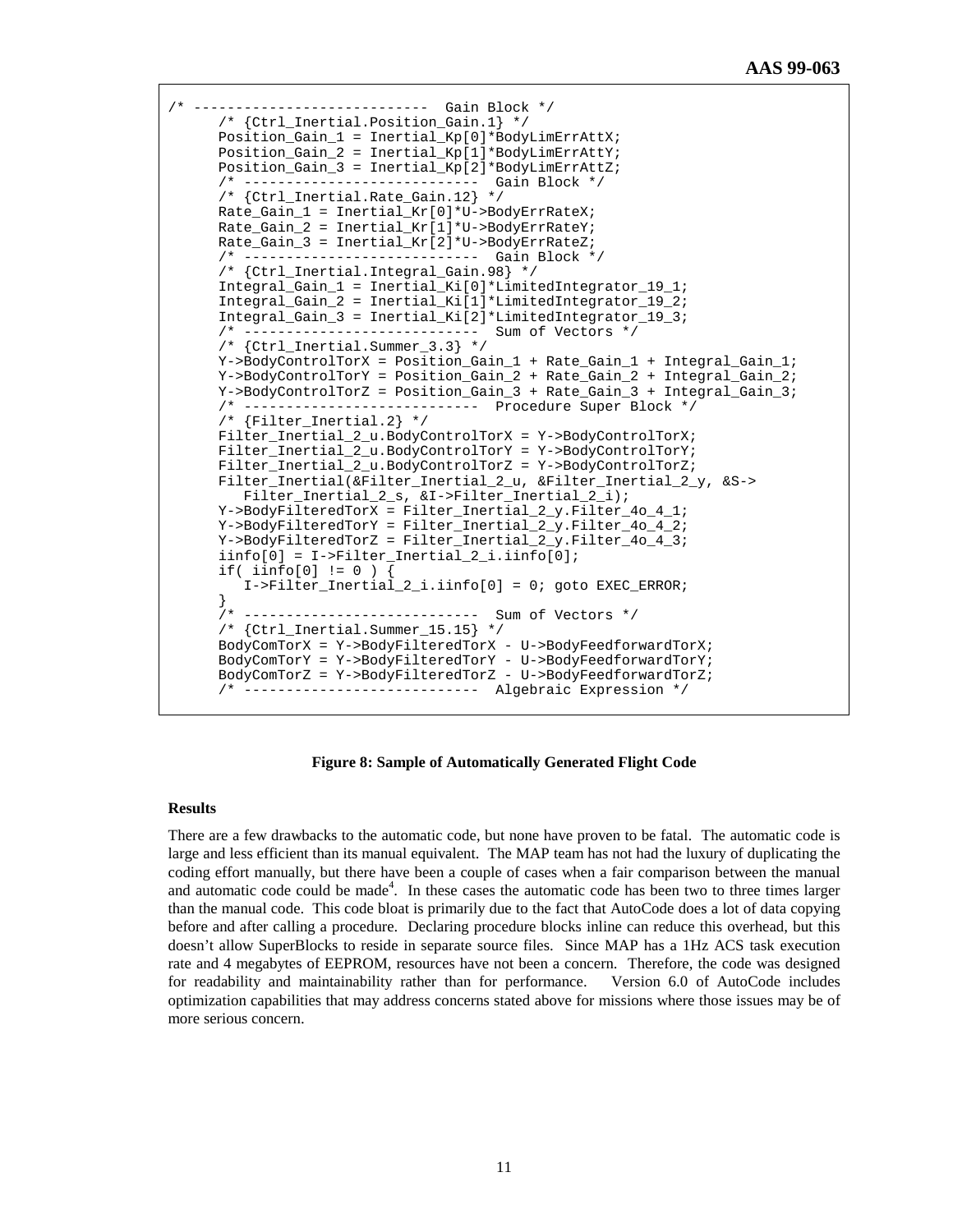```
/* ---------------------------- Gain Block */
      /* {Ctrl_Inertial.Position_Gain.1} */
      Position_Gain_1 = Inertial_Kp[0]*BodyLimErrAttX;
      Position_Gain_2 = Inertial_Kp[1]*BodyLimErrAttY;
      Position_Gain_3 = Inertial_Kp[2]*BodyLimErrAttZ;
      /* ---------------------------- Gain Block */
      /* {Ctrl_Inertial.Rate_Gain.12} */
      Rate_Gain_1 = Inertial_Kr[0]*U->BodyErrRateX;
      Rate_Gain_2 = Inertial_Kr[1]*U->BodyErrRateY;
     Rate Gain 3 = Inertial Kr[2]*U->BodyErrRateZ;
       /* ---------------------------- Gain Block */
      /* {Ctrl_Inertial.Integral_Gain.98} */
      Integral_Gain_1 = Inertial_Ki[0]*LimitedIntegrator_19_1;
      Integral_Gain_2 = Inertial_Ki[1]*LimitedIntegrator_19_2;
      Integral_Gain_3 = Inertial_Ki[2]*LimitedIntegrator_19_3;
       /* ---------------------------- Sum of Vectors */
      /* {Ctrl_Inertial.Summer_3.3} */
      Y->BodyControlTorX = Position_Gain_1 + Rate_Gain_1 + Integral_Gain_1;
      Y->BodyControlTorY = Position_Gain_2 + Rate_Gain_2 + Integral_Gain_2;
      Y->BodyControlTorZ = Position_Gain_3 + Rate_Gain_3 + Integral_Gain_3;
      /* ---------------------------- Procedure Super Block */
      /* {Filter_Inertial.2} */
      Filter_Inertial_2_u.BodyControlTorX = Y->BodyControlTorX;
 Filter_Inertial_2_u.BodyControlTorY = Y->BodyControlTorY;
 Filter_Inertial_2_u.BodyControlTorZ = Y->BodyControlTorZ;
      Filter_Inertial(&Filter_Inertial_2_u, &Filter_Inertial_2_y, &S->
         Filter_Inertial_2_s, &I->Filter_Inertial_2_i);
      Y->BodyFilteredTorX = Filter_Inertial_2_y.Filter_4o_4_1;
 Y->BodyFilteredTorY = Filter_Inertial_2_y.Filter_4o_4_2;
 Y->BodyFilteredTorZ = Filter_Inertial_2_y.Filter_4o_4_3;
      iinfo[0] = I->Filter_Inertial_2_i.iinfo[0];
      if( iinfo[0] != 0 ) {
          I->Filter_Inertial_2_i.iinfo[0] = 0; goto EXEC_ERROR;
 }
       /* ---------------------------- Sum of Vectors */
       /* {Ctrl_Inertial.Summer_15.15} */
      BodyComTorX = Y->BodyFilteredTorX - U->BodyFeedforwardTorX;
      BodyComTorY = Y->BodyFilteredTorY - U->BodyFeedforwardTorY;
      BodyComTorZ = Y->BodyFilteredTorZ - U->BodyFeedforwardTorZ;
                            ---------- Algebraic Expression */
```
#### **Figure 8: Sample of Automatically Generated Flight Code**

#### **Results**

There are a few drawbacks to the automatic code, but none have proven to be fatal. The automatic code is large and less efficient than its manual equivalent. The MAP team has not had the luxury of duplicating the coding effort manually, but there have been a couple of cases when a fair comparison between the manual and automatic code could be made<sup>4</sup>. In these cases the automatic code has been two to three times larger than the manual code. This code bloat is primarily due to the fact that AutoCode does a lot of data copying before and after calling a procedure. Declaring procedure blocks inline can reduce this overhead, but this doesn't allow SuperBlocks to reside in separate source files. Since MAP has a 1Hz ACS task execution rate and 4 megabytes of EEPROM, resources have not been a concern. Therefore, the code was designed for readability and maintainability rather than for performance. Version 6.0 of AutoCode includes optimization capabilities that may address concerns stated above for missions where those issues may be of more serious concern.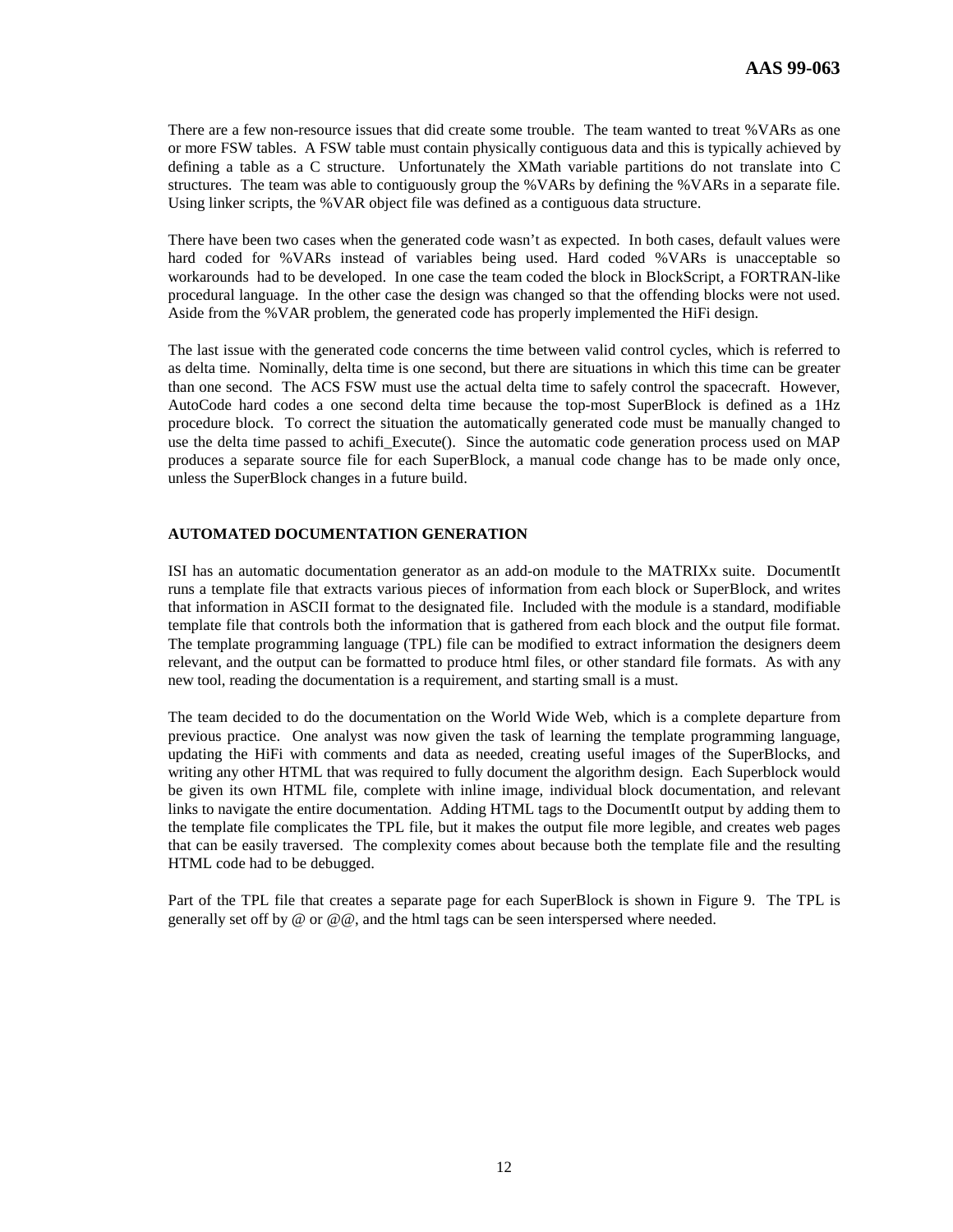There are a few non-resource issues that did create some trouble. The team wanted to treat %VARs as one or more FSW tables. A FSW table must contain physically contiguous data and this is typically achieved by defining a table as a C structure. Unfortunately the XMath variable partitions do not translate into C structures. The team was able to contiguously group the %VARs by defining the %VARs in a separate file. Using linker scripts, the %VAR object file was defined as a contiguous data structure.

There have been two cases when the generated code wasn't as expected. In both cases, default values were hard coded for %VARs instead of variables being used. Hard coded %VARs is unacceptable so workarounds had to be developed. In one case the team coded the block in BlockScript, a FORTRAN-like procedural language. In the other case the design was changed so that the offending blocks were not used. Aside from the %VAR problem, the generated code has properly implemented the HiFi design.

The last issue with the generated code concerns the time between valid control cycles, which is referred to as delta time. Nominally, delta time is one second, but there are situations in which this time can be greater than one second. The ACS FSW must use the actual delta time to safely control the spacecraft. However, AutoCode hard codes a one second delta time because the top-most SuperBlock is defined as a 1Hz procedure block. To correct the situation the automatically generated code must be manually changed to use the delta time passed to achifi Execute(). Since the automatic code generation process used on MAP produces a separate source file for each SuperBlock, a manual code change has to be made only once, unless the SuperBlock changes in a future build.

# **AUTOMATED DOCUMENTATION GENERATION**

ISI has an automatic documentation generator as an add-on module to the MATRIXx suite. DocumentIt runs a template file that extracts various pieces of information from each block or SuperBlock, and writes that information in ASCII format to the designated file. Included with the module is a standard, modifiable template file that controls both the information that is gathered from each block and the output file format. The template programming language (TPL) file can be modified to extract information the designers deem relevant, and the output can be formatted to produce html files, or other standard file formats. As with any new tool, reading the documentation is a requirement, and starting small is a must.

The team decided to do the documentation on the World Wide Web, which is a complete departure from previous practice. One analyst was now given the task of learning the template programming language, updating the HiFi with comments and data as needed, creating useful images of the SuperBlocks, and writing any other HTML that was required to fully document the algorithm design. Each Superblock would be given its own HTML file, complete with inline image, individual block documentation, and relevant links to navigate the entire documentation. Adding HTML tags to the DocumentIt output by adding them to the template file complicates the TPL file, but it makes the output file more legible, and creates web pages that can be easily traversed. The complexity comes about because both the template file and the resulting HTML code had to be debugged.

Part of the TPL file that creates a separate page for each SuperBlock is shown in Figure 9. The TPL is generally set off by  $\omega$  or  $\omega$  $\omega$ , and the html tags can be seen interspersed where needed.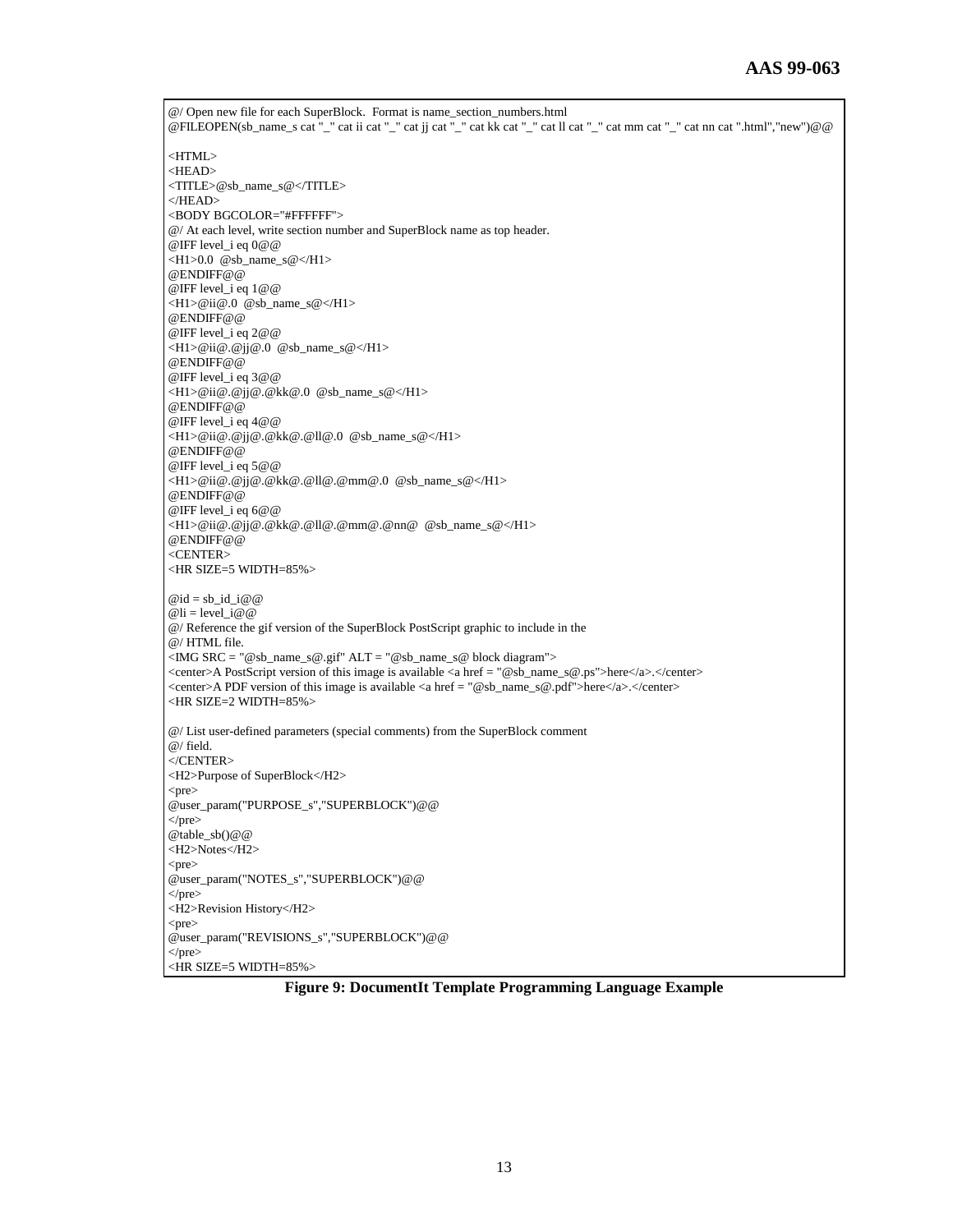@/ Open new file for each SuperBlock. Format is name\_section\_numbers.html @FILEOPEN(sb\_name\_s cat "\_" cat ii cat "\_" cat jj cat "\_" cat kk cat "\_" cat ll cat "\_" cat mm cat "\_" cat nn cat ".html","new")@@ <HTML> <HEAD> <TITLE>@sb\_name\_s@</TITLE> </HEAD> <BODY BGCOLOR="#FFFFFF"> @/ At each level, write section number and SuperBlock name as top header. @IFF level\_i eq 0@@  $\langle H1>0.0 \text{ } @sb\_name_s@<\rangle H1>$ @ENDIFF@@ @IFF level\_i eq 1@@ <H1>@ii@.0 @sb\_name\_s@</H1> @ENDIFF@@ @IFF level\_i eq 2@@ <H1>@ii@.@jj@.0 @sb\_name\_s@</H1> @ENDIFF@@ @IFF level\_i eq 3@@ <H1>@ii@.@jj@.@kk@.0 @sb\_name\_s@</H1> @ENDIFF@@ @IFF level\_i eq 4@@ <H1>@ii@.@jj@.@kk@.@ll@.0 @sb\_name\_s@</H1> @ENDIFF@@ @IFF level\_i eq 5@@ <H1>@ii@.@jj@.@kk@.@ll@.@mm@.0 @sb\_name\_s@</H1> @ENDIFF@@ @IFF level\_i eq 6@@ <H1>@ii@.@jj@.@kk@.@ll@.@mm@.@nn@ @sb\_name\_s@</H1> @ENDIFF@@ <CENTER> <HR SIZE=5 WIDTH=85%>  $@id = sb_id_id$  $@$ li = level  $i@@$ @/ Reference the gif version of the SuperBlock PostScript graphic to include in the @/ HTML file.  $\langle$ IMG SRC = "@sb\_name\_s@.gif" ALT = "@sb\_name\_s@ block diagram"> <center>A PostScript version of this image is available <a href = "@sb\_name\_s@.ps">here</a>.</center> <center>A PDF version of this image is available <a href = "@sb\_name\_s@.pdf">here</a>.</center> <HR SIZE=2 WIDTH=85%> @/ List user-defined parameters (special comments) from the SuperBlock comment @/ field. </CENTER> <H2>Purpose of SuperBlock</H2> <pre> @user\_param("PURPOSE\_s","SUPERBLOCK")@@  $<$ /pre $>$ @table\_sb()@@ <H2>Notes</H2> <pre> @user\_param("NOTES\_s","SUPERBLOCK")@@  $<$ /pre $>$ <H2>Revision History</H2> <pre> @user\_param("REVISIONS\_s","SUPERBLOCK")@@ </pre> <HR SIZE=5 WIDTH=85%>

**Figure 9: DocumentIt Template Programming Language Example**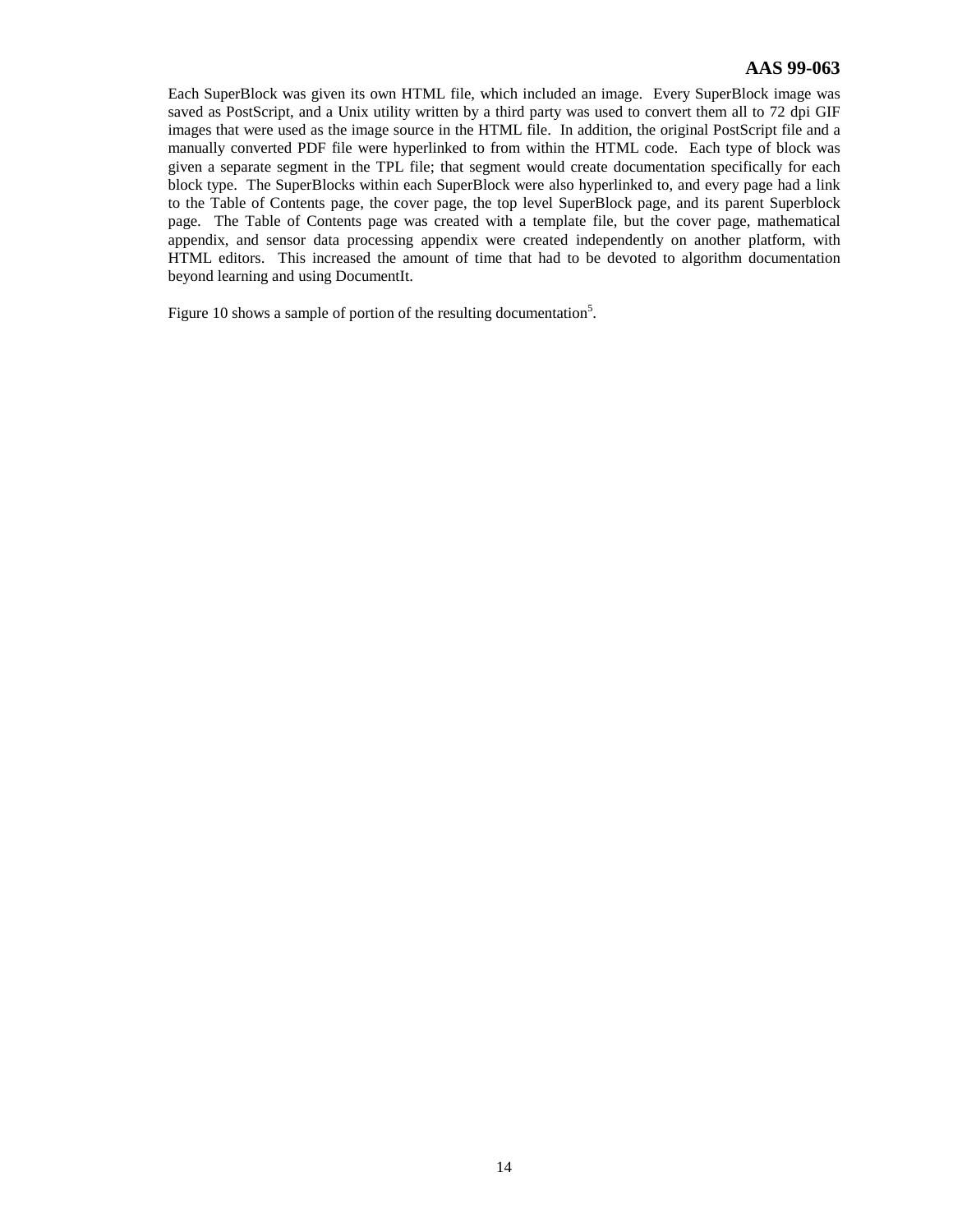# **AAS 99-063**

Each SuperBlock was given its own HTML file, which included an image. Every SuperBlock image was saved as PostScript, and a Unix utility written by a third party was used to convert them all to 72 dpi GIF images that were used as the image source in the HTML file. In addition, the original PostScript file and a manually converted PDF file were hyperlinked to from within the HTML code. Each type of block was given a separate segment in the TPL file; that segment would create documentation specifically for each block type. The SuperBlocks within each SuperBlock were also hyperlinked to, and every page had a link to the Table of Contents page, the cover page, the top level SuperBlock page, and its parent Superblock page. The Table of Contents page was created with a template file, but the cover page, mathematical appendix, and sensor data processing appendix were created independently on another platform, with HTML editors. This increased the amount of time that had to be devoted to algorithm documentation beyond learning and using DocumentIt.

Figure 10 shows a sample of portion of the resulting documentation<sup>5</sup>.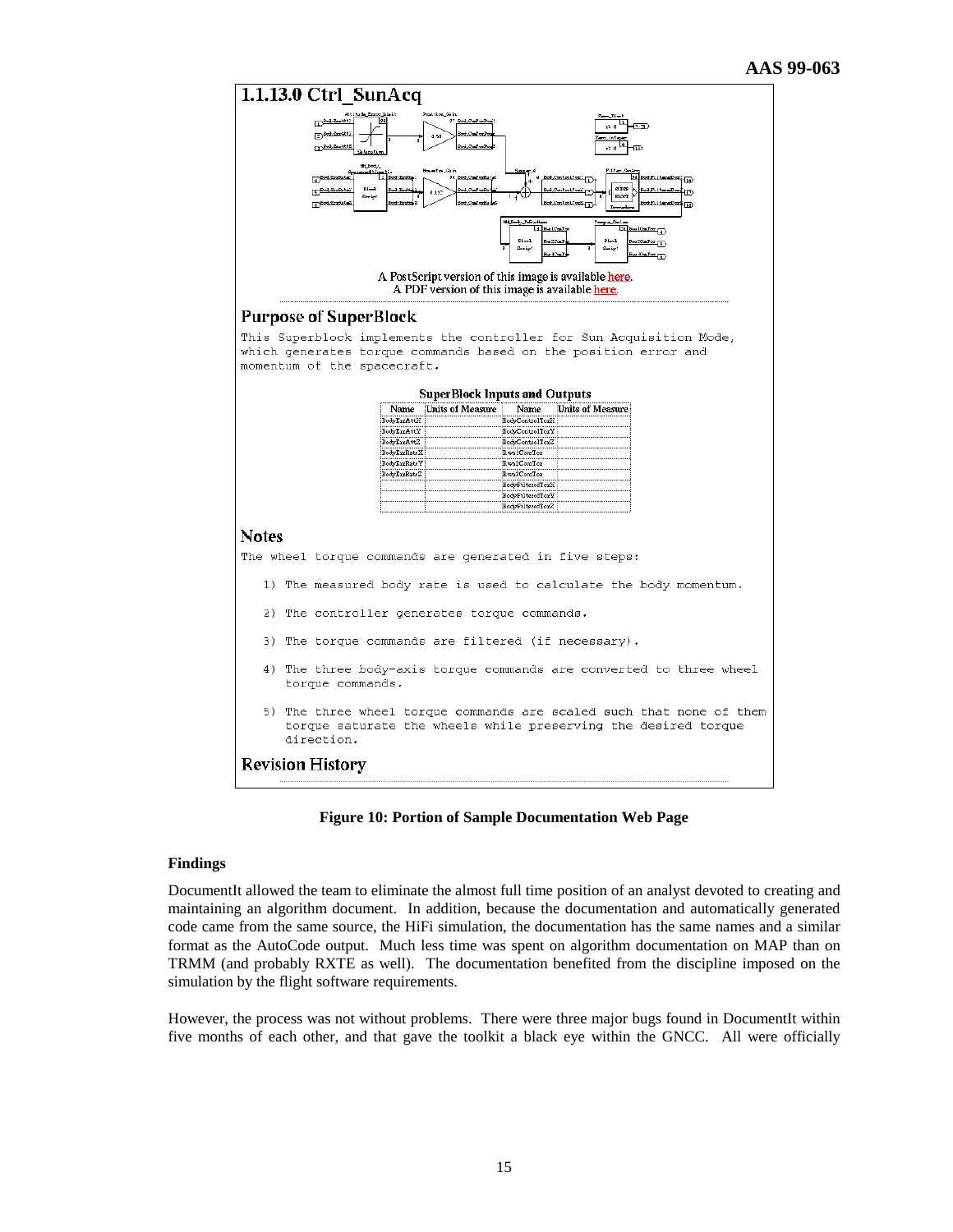

#### **Figure 10: Portion of Sample Documentation Web Page**

## **Findings**

DocumentIt allowed the team to eliminate the almost full time position of an analyst devoted to creating and maintaining an algorithm document. In addition, because the documentation and automatically generated code came from the same source, the HiFi simulation, the documentation has the same names and a similar format as the AutoCode output. Much less time was spent on algorithm documentation on MAP than on TRMM (and probably RXTE as well). The documentation benefited from the discipline imposed on the simulation by the flight software requirements.

However, the process was not without problems. There were three major bugs found in DocumentIt within five months of each other, and that gave the toolkit a black eye within the GNCC. All were officially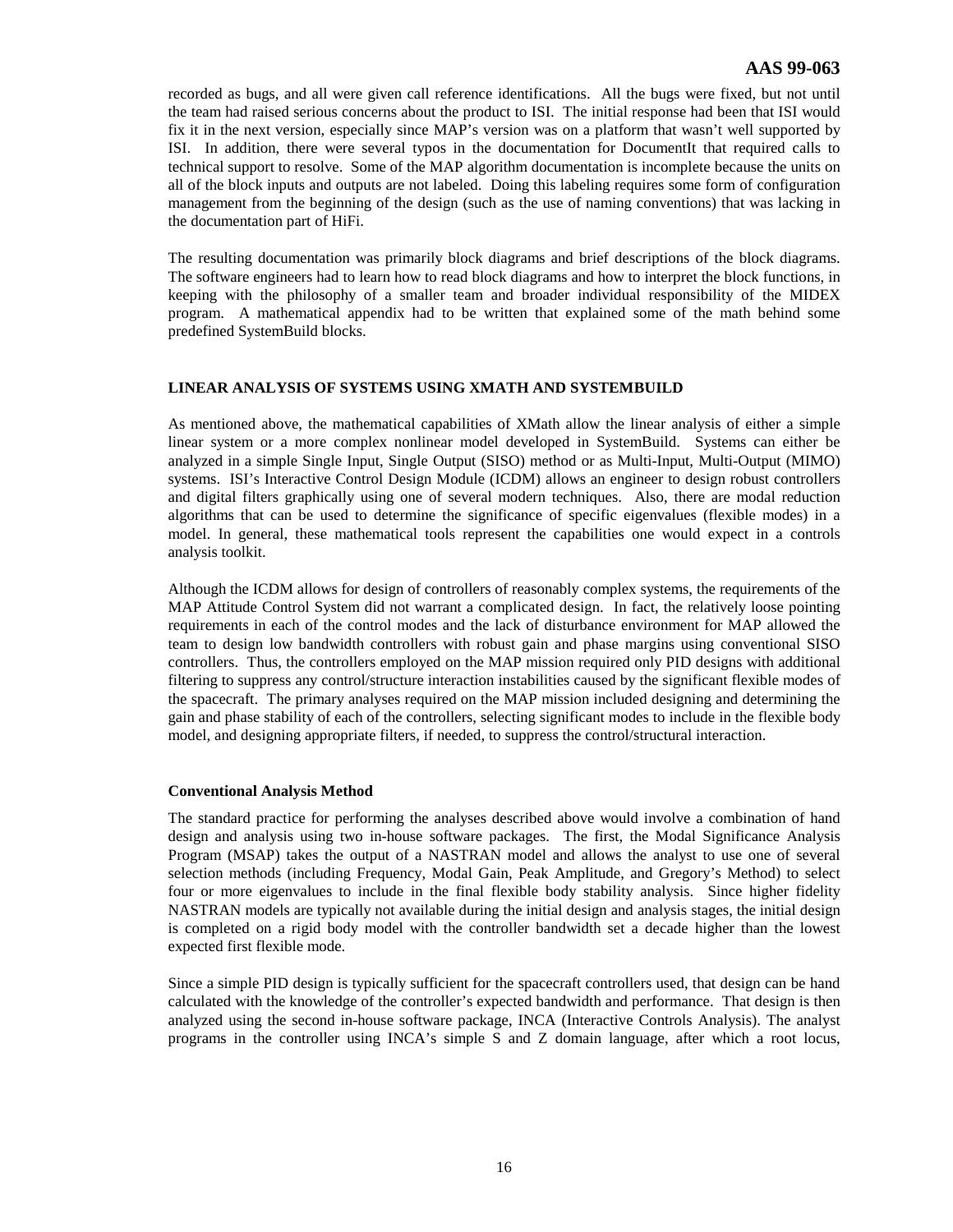recorded as bugs, and all were given call reference identifications. All the bugs were fixed, but not until the team had raised serious concerns about the product to ISI. The initial response had been that ISI would fix it in the next version, especially since MAP's version was on a platform that wasn't well supported by ISI. In addition, there were several typos in the documentation for DocumentIt that required calls to technical support to resolve. Some of the MAP algorithm documentation is incomplete because the units on all of the block inputs and outputs are not labeled. Doing this labeling requires some form of configuration management from the beginning of the design (such as the use of naming conventions) that was lacking in the documentation part of HiFi.

The resulting documentation was primarily block diagrams and brief descriptions of the block diagrams. The software engineers had to learn how to read block diagrams and how to interpret the block functions, in keeping with the philosophy of a smaller team and broader individual responsibility of the MIDEX program. A mathematical appendix had to be written that explained some of the math behind some predefined SystemBuild blocks.

# **LINEAR ANALYSIS OF SYSTEMS USING XMATH AND SYSTEMBUILD**

As mentioned above, the mathematical capabilities of XMath allow the linear analysis of either a simple linear system or a more complex nonlinear model developed in SystemBuild. Systems can either be analyzed in a simple Single Input, Single Output (SISO) method or as Multi-Input, Multi-Output (MIMO) systems. ISI's Interactive Control Design Module (ICDM) allows an engineer to design robust controllers and digital filters graphically using one of several modern techniques. Also, there are modal reduction algorithms that can be used to determine the significance of specific eigenvalues (flexible modes) in a model. In general, these mathematical tools represent the capabilities one would expect in a controls analysis toolkit.

Although the ICDM allows for design of controllers of reasonably complex systems, the requirements of the MAP Attitude Control System did not warrant a complicated design. In fact, the relatively loose pointing requirements in each of the control modes and the lack of disturbance environment for MAP allowed the team to design low bandwidth controllers with robust gain and phase margins using conventional SISO controllers. Thus, the controllers employed on the MAP mission required only PID designs with additional filtering to suppress any control/structure interaction instabilities caused by the significant flexible modes of the spacecraft. The primary analyses required on the MAP mission included designing and determining the gain and phase stability of each of the controllers, selecting significant modes to include in the flexible body model, and designing appropriate filters, if needed, to suppress the control/structural interaction.

# **Conventional Analysis Method**

The standard practice for performing the analyses described above would involve a combination of hand design and analysis using two in-house software packages. The first, the Modal Significance Analysis Program (MSAP) takes the output of a NASTRAN model and allows the analyst to use one of several selection methods (including Frequency, Modal Gain, Peak Amplitude, and Gregory's Method) to select four or more eigenvalues to include in the final flexible body stability analysis. Since higher fidelity NASTRAN models are typically not available during the initial design and analysis stages, the initial design is completed on a rigid body model with the controller bandwidth set a decade higher than the lowest expected first flexible mode.

Since a simple PID design is typically sufficient for the spacecraft controllers used, that design can be hand calculated with the knowledge of the controller's expected bandwidth and performance. That design is then analyzed using the second in-house software package, INCA (Interactive Controls Analysis). The analyst programs in the controller using INCA's simple S and Z domain language, after which a root locus,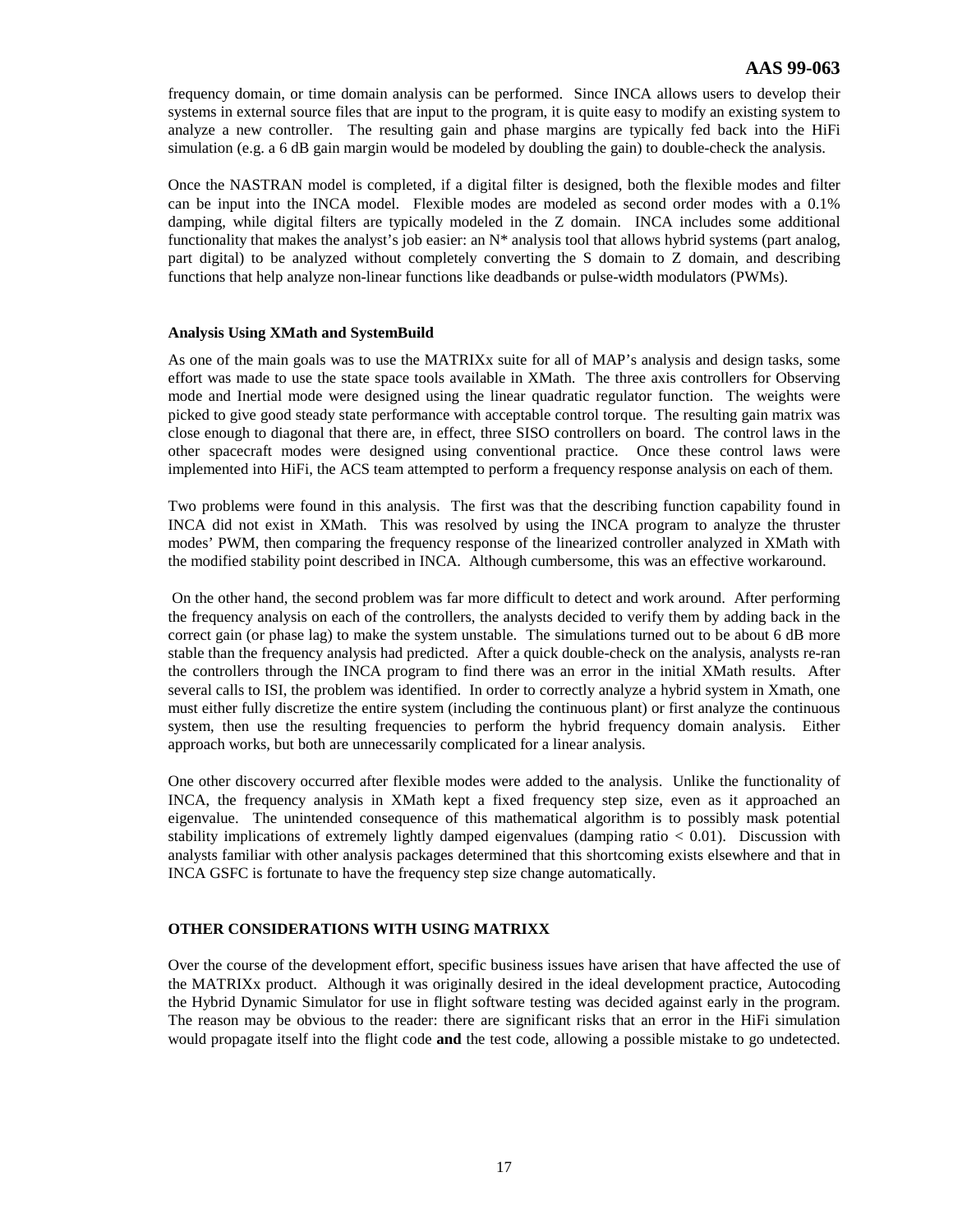frequency domain, or time domain analysis can be performed. Since INCA allows users to develop their systems in external source files that are input to the program, it is quite easy to modify an existing system to analyze a new controller. The resulting gain and phase margins are typically fed back into the HiFi simulation (e.g. a 6 dB gain margin would be modeled by doubling the gain) to double-check the analysis.

Once the NASTRAN model is completed, if a digital filter is designed, both the flexible modes and filter can be input into the INCA model. Flexible modes are modeled as second order modes with a 0.1% damping, while digital filters are typically modeled in the Z domain. INCA includes some additional functionality that makes the analyst's job easier: an  $N^*$  analysis tool that allows hybrid systems (part analog, part digital) to be analyzed without completely converting the S domain to Z domain, and describing functions that help analyze non-linear functions like deadbands or pulse-width modulators (PWMs).

# **Analysis Using XMath and SystemBuild**

As one of the main goals was to use the MATRIXx suite for all of MAP's analysis and design tasks, some effort was made to use the state space tools available in XMath. The three axis controllers for Observing mode and Inertial mode were designed using the linear quadratic regulator function. The weights were picked to give good steady state performance with acceptable control torque. The resulting gain matrix was close enough to diagonal that there are, in effect, three SISO controllers on board. The control laws in the other spacecraft modes were designed using conventional practice. Once these control laws were implemented into HiFi, the ACS team attempted to perform a frequency response analysis on each of them.

Two problems were found in this analysis. The first was that the describing function capability found in INCA did not exist in XMath. This was resolved by using the INCA program to analyze the thruster modes' PWM, then comparing the frequency response of the linearized controller analyzed in XMath with the modified stability point described in INCA. Although cumbersome, this was an effective workaround.

 On the other hand, the second problem was far more difficult to detect and work around. After performing the frequency analysis on each of the controllers, the analysts decided to verify them by adding back in the correct gain (or phase lag) to make the system unstable. The simulations turned out to be about 6 dB more stable than the frequency analysis had predicted. After a quick double-check on the analysis, analysts re-ran the controllers through the INCA program to find there was an error in the initial XMath results. After several calls to ISI, the problem was identified. In order to correctly analyze a hybrid system in Xmath, one must either fully discretize the entire system (including the continuous plant) or first analyze the continuous system, then use the resulting frequencies to perform the hybrid frequency domain analysis. Either approach works, but both are unnecessarily complicated for a linear analysis.

One other discovery occurred after flexible modes were added to the analysis. Unlike the functionality of INCA, the frequency analysis in XMath kept a fixed frequency step size, even as it approached an eigenvalue. The unintended consequence of this mathematical algorithm is to possibly mask potential stability implications of extremely lightly damped eigenvalues (damping ratio < 0.01). Discussion with analysts familiar with other analysis packages determined that this shortcoming exists elsewhere and that in INCA GSFC is fortunate to have the frequency step size change automatically.

# **OTHER CONSIDERATIONS WITH USING MATRIXX**

Over the course of the development effort, specific business issues have arisen that have affected the use of the MATRIXx product. Although it was originally desired in the ideal development practice, Autocoding the Hybrid Dynamic Simulator for use in flight software testing was decided against early in the program. The reason may be obvious to the reader: there are significant risks that an error in the HiFi simulation would propagate itself into the flight code **and** the test code, allowing a possible mistake to go undetected.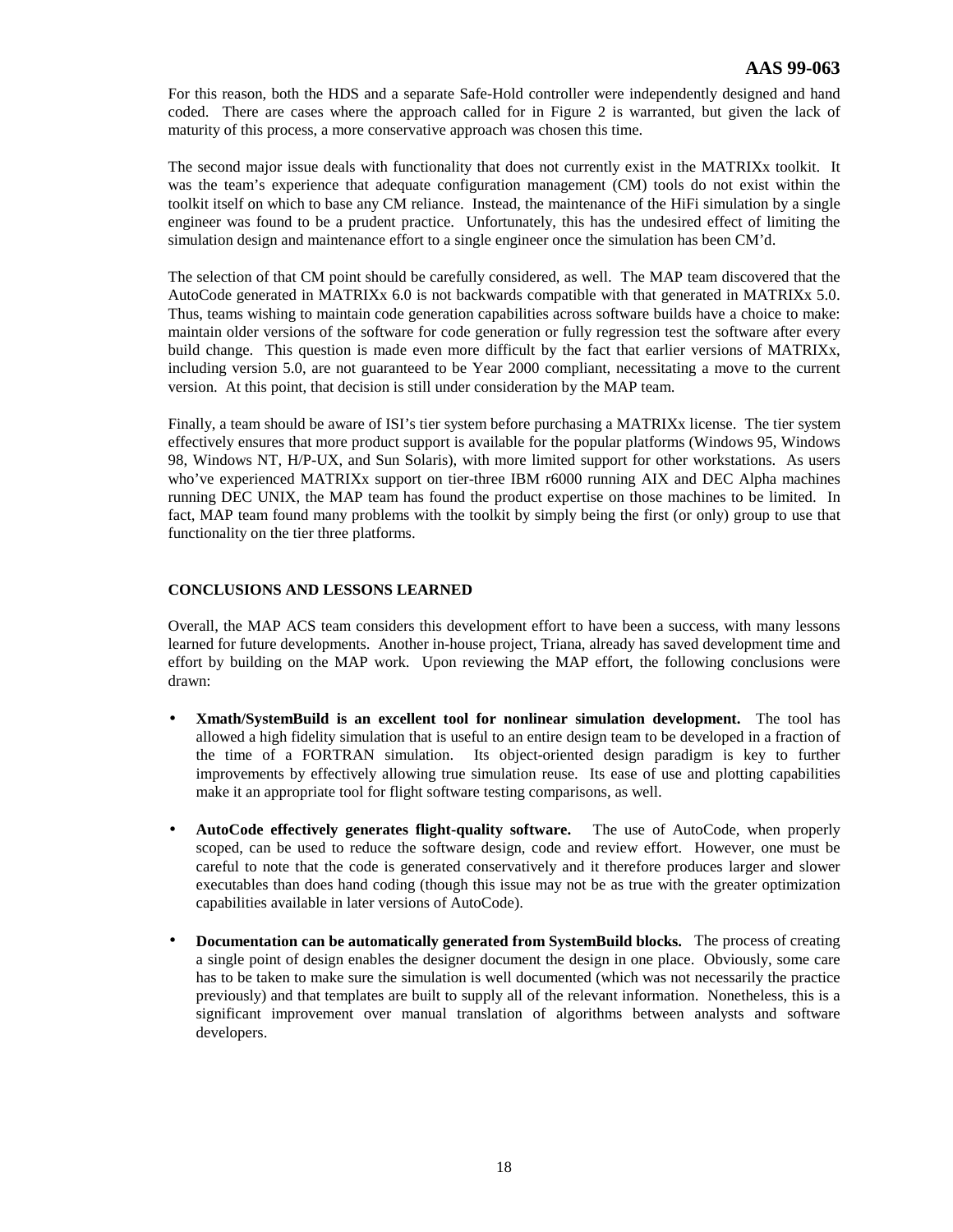For this reason, both the HDS and a separate Safe-Hold controller were independently designed and hand coded. There are cases where the approach called for in Figure 2 is warranted, but given the lack of maturity of this process, a more conservative approach was chosen this time.

The second major issue deals with functionality that does not currently exist in the MATRIXx toolkit. It was the team's experience that adequate configuration management (CM) tools do not exist within the toolkit itself on which to base any CM reliance. Instead, the maintenance of the HiFi simulation by a single engineer was found to be a prudent practice. Unfortunately, this has the undesired effect of limiting the simulation design and maintenance effort to a single engineer once the simulation has been CM'd.

The selection of that CM point should be carefully considered, as well. The MAP team discovered that the AutoCode generated in MATRIXx 6.0 is not backwards compatible with that generated in MATRIXx 5.0. Thus, teams wishing to maintain code generation capabilities across software builds have a choice to make: maintain older versions of the software for code generation or fully regression test the software after every build change. This question is made even more difficult by the fact that earlier versions of MATRIXx, including version 5.0, are not guaranteed to be Year 2000 compliant, necessitating a move to the current version. At this point, that decision is still under consideration by the MAP team.

Finally, a team should be aware of ISI's tier system before purchasing a MATRIXx license. The tier system effectively ensures that more product support is available for the popular platforms (Windows 95, Windows 98, Windows NT, H/P-UX, and Sun Solaris), with more limited support for other workstations. As users who've experienced MATRIXx support on tier-three IBM r6000 running AIX and DEC Alpha machines running DEC UNIX, the MAP team has found the product expertise on those machines to be limited. In fact, MAP team found many problems with the toolkit by simply being the first (or only) group to use that functionality on the tier three platforms.

# **CONCLUSIONS AND LESSONS LEARNED**

Overall, the MAP ACS team considers this development effort to have been a success, with many lessons learned for future developments. Another in-house project, Triana, already has saved development time and effort by building on the MAP work. Upon reviewing the MAP effort, the following conclusions were drawn:

- **Xmath/SystemBuild is an excellent tool for nonlinear simulation development.** The tool has allowed a high fidelity simulation that is useful to an entire design team to be developed in a fraction of the time of a FORTRAN simulation. Its object-oriented design paradigm is key to further improvements by effectively allowing true simulation reuse. Its ease of use and plotting capabilities make it an appropriate tool for flight software testing comparisons, as well.
- **AutoCode effectively generates flight-quality software.** The use of AutoCode, when properly scoped, can be used to reduce the software design, code and review effort. However, one must be careful to note that the code is generated conservatively and it therefore produces larger and slower executables than does hand coding (though this issue may not be as true with the greater optimization capabilities available in later versions of AutoCode).
- **Documentation can be automatically generated from SystemBuild blocks.** The process of creating a single point of design enables the designer document the design in one place. Obviously, some care has to be taken to make sure the simulation is well documented (which was not necessarily the practice previously) and that templates are built to supply all of the relevant information. Nonetheless, this is a significant improvement over manual translation of algorithms between analysts and software developers.